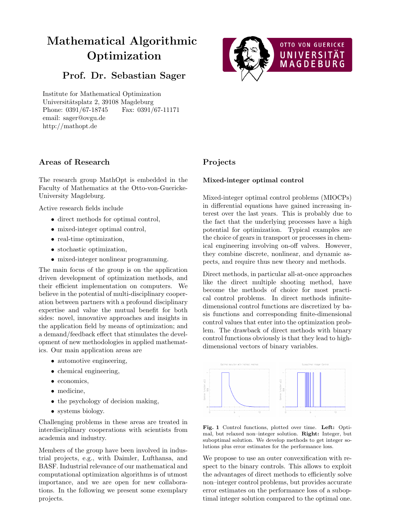# Mathematical Algorithmic Optimization

## Prof. Dr. Sebastian Sager

Institute for Mathematical Optimization Universitätsplatz 2, 39108 Magdeburg Phone: 0391/67-18745 Fax: 0391/67-11171 email: sager@ovgu.de http://mathopt.de



#### Areas of Research

The research group MathOpt is embedded in the Faculty of Mathematics at the Otto-von-Guericke-University Magdeburg.

Active research fields include

- direct methods for optimal control,
- mixed-integer optimal control,
- real-time optimization,
- stochastic optimization,
- mixed-integer nonlinear programming.

The main focus of the group is on the application driven development of optimization methods, and their efficient implementation on computers. We believe in the potential of multi-disciplinary cooperation between partners with a profound disciplinary expertise and value the mutual benefit for both sides: novel, innovative approaches and insights in the application field by means of optimization; and a demand/feedback effect that stimulates the development of new methodologies in applied mathematics. Our main application areas are

- automotive engineering,
- chemical engineering,
- economics.
- medicine,
- the psychology of decision making,
- systems biology.

Challenging problems in these areas are treated in interdisciplinary cooperations with scientists from academia and industry.

Members of the group have been involved in industrial projects, e.g., with Daimler, Lufthansa, and BASF. Industrial relevance of our mathematical and computational optimization algorithms is of utmost importance, and we are open for new collaborations. In the following we present some exemplary projects.

### Projects

#### Mixed-integer optimal control

Mixed-integer optimal control problems (MIOCPs) in differential equations have gained increasing interest over the last years. This is probably due to the fact that the underlying processes have a high potential for optimization. Typical examples are the choice of gears in transport or processes in chemical engineering involving on-off valves. However, they combine discrete, nonlinear, and dynamic aspects, and require thus new theory and methods.

Direct methods, in particular all-at-once approaches like the direct multiple shooting method, have become the methods of choice for most practical control problems. In direct methods infinitedimensional control functions are discretized by basis functions and corresponding finite-dimensional control values that enter into the optimization problem. The drawback of direct methods with binary control functions obviously is that they lead to highdimensional vectors of binary variables.



Fig. 1 Control functions, plotted over time. Left: Optimal, but relaxed non–integer solution. Right: Integer, but suboptimal solution. We develop methods to get integer solutions plus error estimates for the performance loss.

We propose to use an outer convexification with respect to the binary controls. This allows to exploit the advantages of direct methods to efficiently solve non–integer control problems, but provides accurate error estimates on the performance loss of a suboptimal integer solution compared to the optimal one.